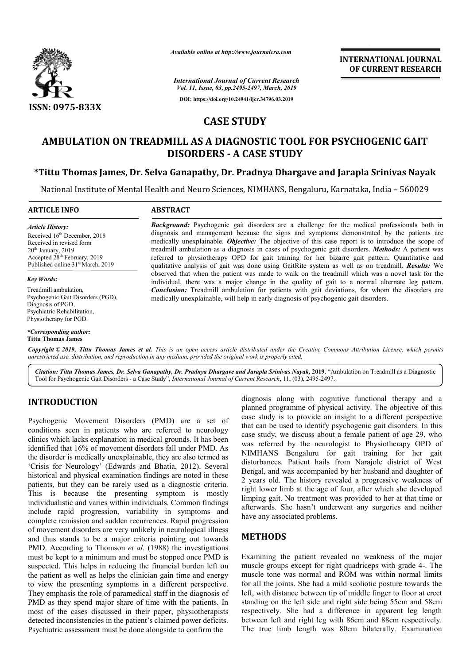

*Available online at http://www.journalcra.com*

*International Journal of Current Research Vol. 11, Issue, 03, pp.2495-2497, March, 2019* **DOI: https://doi.org/10.24941/ijcr.34796.03.2019**

**INTERNATIONAL JOURNAL OF CURRENT RESEARCH**

# **CASE STUDY**

# **AMBULATION ON TREADMILL AS A DIAGNOSTIC TOOL FOR PSYCHOGENIC GAIT DISORDERS - A CASE STUDY** AMBULATION ON TREADMILL AS A DIAGNOSTIC TOOL FOR PSYCHOGENIC GAIT<br>DISORDERS - A CASE STUDY<br>Tittu Thomas James, Dr. Selva Ganapathy, Dr. Pradnya Dhargave and Jarapla Srinivas Nayak\*

National Institute of Mental Health and Neuro Sciences, NIMHANS, Bengaluru, Karnataka, India - 560029

#### **ARTICLE INFO ABSTRACT**

*Article History:* Received 16<sup>th</sup> December, 2018 Received in revised form  $20<sup>th</sup>$  January,  $2019$ Accepted 28<sup>th</sup> February, 2019 Published online 31<sup>st</sup> March, 2019

#### *Key Words:*

Treadmill ambulation, Psychogenic Gait Disorders (PGD), Diagnosis of PGD, Psychiatric Rehabilitation, Physiotherapy for PGD.

## *\*Corresponding author:*

**Tittu Thomas James**

**Background:** Psychogenic gait disorders are a challenge for the medical professionals both in diagnosis and management because the signs and symptoms demonstrated by the patients are medically unexplainable. **Objective:** The objective of this case report is to introduce the scope of treadmill ambu ambulation as a diagnosis in cases of psychogenic gait disorders. referred to physiotherapy OPD for gait training for her bizarre gait pattern. Quantitative and referred to physiotherapy OPD for gait training for her bizarre gait pattern. Quantitative and qualitative analysis of gait was done using GaitRite system as well as on treadmill. *Results:* We observed that when the patient was made to walk on the treadmill which was a novel task for the individual, there was a major change in the quality of gait to a normal alternate leg pattern. *Conclusion:*  Treadmill ambulation for patients with gait deviations, for whom the disorders are medically unexplainable, will help in early diagnosis of psychogenic gait disorders. **Background:** Psychogenic gait disorders are a challenge for the medical professionals both in diagnosis and management because the signs and symptoms demonstrated by the patients are medically unexplainable. *Objective*: observed that when the patient was made to walk on the treadmill which was a individual, there was a major change in the quality of gait to a normal alte **Conclusion:** Treadmill ambulation for patients with gait deviations

Copyright © 2019, Tittu Thomas James et al. This is an open access article distributed under the Creative Commons Attribution License, which permits *unrestricted use, distribution, and reproduction in any medium, provided the original work is properly cited.*

Citation: Tittu Thomas James, Dr. Selva Ganapathy, Dr. Pradnya Dhargave and Jarapla Srinivas Nayak, 2019. "Ambulation on Treadmill as a Diagnostic Tool for Psychogenic Gait Disorders - a Case Study", *International Journal of Current Research*, 11, (03), 2495-2497.

## **INTRODUCTION**

Psychogenic Movement Disorders (PMD) are a set of conditions seen in patients who are referred to neurology clinics which lacks explanation in medical grounds. It has been identified that 16% of movement disorders fall under PMD. As the disorder is medically unexplainable, they are also termed as the disorder is medically unexplainable, they are also termed as 'Crisis for Neurology' (Edwards and Bhatia, 2012). Several historical and physical examination findings are noted in these patients, but they can be rarely used as a diagnostic criteria. This is because the presenting symptom is mostly individualistic and varies within individuals. Common findings include rapid progression, variability in symptoms and complete remission and sudden recurrences. Rapid progression of movement disorders are very unlikely in neurological illness and thus stands to be a major criteria pointing out towards PMD. According to Thomson *et al.* (1988) the investigations must be kept to a minimum and must be stopped once PMD is suspected. This helps in reducing the financial burden left on the patient as well as helps the clinician gain time and energy to view the presenting symptoms in a different perspective. They emphasis the role of paramedical staff in the diagnosis of PMD as they spend major share of time with the patients. In most of the cases discussed in their paper, physiotherapists detected inconsistencies in the patient's claimed power deficits. Psychiatric assessment must be done alongside to confirm the

diagnosis along with cognitive functional therapy and a diagnosis along with cognitive functional therapy and a planned programme of physical activity. The objective of this case study is to provide an insight to a different perspective case study is to provide an insight to a different perspective that can be used to identify psychogenic gait disorders. In this case study, we discuss about a female patient of age 29, who case study, we discuss about a female patient of age 29, who was referred by the neurologist to Physiotherapy OPD of NIMHANS Bengaluru for gait training for her gait disturbances. Patient hails from Narajole district of West Bengal, and was accompanied by her husband and daughter of 2 years old. The history revealed a progressive weakness of right lower limb at the age of four, after which she developed limping gait. No treatment was provided to her at that time or afterwards. She hasn't underwent any surgeries and neither have any associated problems. NIMHANS Bengaluru for gait training for her gait disturbances. Patient hails from Narajole district of West Bengal, and was accompanied by her husband and daughter of 2 years old. The history revealed a progressive weaknes THERNATIONAL JOURNAL<br>
FOR RESERVED ON THE SHE range of the state of the state of the state of the state of the state of the state of the state of the state of the state of the state of the state of the state of the state

## **METHODS**

Examining the patient revealed no weakness of the major muscle groups except for right quadriceps with grade 4 4-. The muscle tone was normal and ROM was within normal limits for all the joints. She had a mild scoliotic posture towards the left, with distance between tip of middle finger to floor at erect standing on the left side and right side being 55cm and 58cm respectively. She had a difference in apparent leg length between left and right leg with 86cm and 88cm respectively. The true limb length was 80cm bilaterally. Examination was normal and ROM was within normal limits<br>ints. She had a mild scoliotic posture towards the<br>ance between tip of middle finger to floor at erect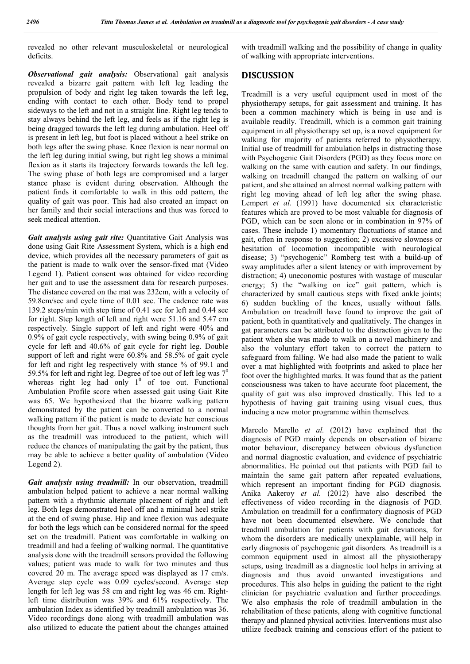revealed no other relevant musculoskeletal or neurological deficits.

*Observational gait analysis:* Observational gait analysis revealed a bizarre gait pattern with left leg leading the propulsion of body and right leg taken towards the left leg, ending with contact to each other. Body tend to propel sideways to the left and not in a straight line. Right leg tends to stay always behind the left leg, and feels as if the right leg is being dragged towards the left leg during ambulation. Heel off is present in left leg, but foot is placed without a heel strike on both legs after the swing phase. Knee flexion is near normal on the left leg during initial swing, but right leg shows a minimal flexion as it starts its trajectory forwards towards the left leg. The swing phase of both legs are compromised and a larger stance phase is evident during observation. Although the patient finds it comfortable to walk in this odd pattern, the quality of gait was poor. This had also created an impact on her family and their social interactions and thus was forced to seek medical attention.

*Gait analysis using gait rite:* Quantitative Gait Analysis was done using Gait Rite Assessment System, which is a high end device, which provides all the necessary parameters of gait as the patient is made to walk over the sensor-fixed mat (Video Legend 1). Patient consent was obtained for video recording her gait and to use the assessment data for research purposes. The distance covered on the mat was 232cm, with a velocity of 59.8cm/sec and cycle time of 0.01 sec. The cadence rate was 139.2 steps/min with step time of 0.41 sec for left and 0.44 sec for right. Step length of left and right were 51.16 and 5.47 cm respectively. Single support of left and right were 40% and 0.9% of gait cycle respectively, with swing being 0.9% of gait cycle for left and 40.6% of gait cycle for right leg. Double support of left and right were 60.8% and 58.5% of gait cycle for left and right leg respectively with stance % of 99.1 and 59.5% for left and right leg. Degree of toe out of left leg was  $7^\circ$ whereas right leg had only  $1^0$  of toe out. Functional Ambulation Profile score when assessed gait using Gait Rite was 65. We hypothesized that the bizarre walking pattern demonstrated by the patient can be converted to a normal walking pattern if the patient is made to deviate her conscious thoughts from her gait. Thus a novel walking instrument such as the treadmill was introduced to the patient, which will reduce the chances of manipulating the gait by the patient, thus may be able to achieve a better quality of ambulation (Video Legend 2).

*Gait analysis using treadmill:* In our observation, treadmill ambulation helped patient to achieve a near normal walking pattern with a rhythmic alternate placement of right and left leg. Both legs demonstrated heel off and a minimal heel strike at the end of swing phase. Hip and knee flexion was adequate for both the legs which can be considered normal for the speed set on the treadmill. Patient was comfortable in walking on treadmill and had a feeling of walking normal. The quantitative analysis done with the treadmill sensors provided the following values; patient was made to walk for two minutes and thus covered 20 m. The average speed was displayed as 17 cm/s. Average step cycle was 0.09 cycles/second. Average step length for left leg was 58 cm and right leg was 46 cm. Rightleft time distribution was 39% and 61% respectively. The ambulation Index as identified by treadmill ambulation was 36. Video recordings done along with treadmill ambulation was also utilized to educate the patient about the changes attained

with treadmill walking and the possibility of change in quality of walking with appropriate interventions.

### **DISCUSSION**

Treadmill is a very useful equipment used in most of the physiotherapy setups, for gait assessment and training. It has been a common machinery which is being in use and is available readily. Treadmill, which is a common gait training equipment in all physiotherapy set up, is a novel equipment for walking for majority of patients referred to physiotherapy. Initial use of treadmill for ambulation helps in distracting those with Psychogenic Gait Disorders (PGD) as they focus more on walking on the same with caution and safety. In our findings, walking on treadmill changed the pattern on walking of our patient, and she attained an almost normal walking pattern with right leg moving ahead of left leg after the swing phase. Lempert *et al.* (1991) have documented six characteristic features which are proved to be most valuable for diagnosis of PGD, which can be seen alone or in combination in 97% of cases. These include 1) momentary fluctuations of stance and gait, often in response to suggestion; 2) excessive slowness or hesitation of locomotion incompatible with neurological disease; 3) "psychogenic" Romberg test with a build-up of sway amplitudes after a silent latency or with improvement by distraction; 4) uneconomic postures with wastage of muscular energy; 5) the "walking on ice" gait pattern, which is characterized by small cautious steps with fixed ankle joints; 6) sudden buckling of the knees, usually without falls. Ambulation on treadmill have found to improve the gait of patient, both in quantitatively and qualitatively. The changes in gat parameters can be attributed to the distraction given to the patient when she was made to walk on a novel machinery and also the voluntary effort taken to correct the pattern to safeguard from falling. We had also made the patient to walk over a mat highlighted with footprints and asked to place her foot over the highlighted marks. It was found that as the patient consciousness was taken to have accurate foot placement, the quality of gait was also improved drastically. This led to a hypothesis of having gait training using visual cues, thus inducing a new motor programme within themselves.

Marcelo Marello *et al.* (2012) have explained that the diagnosis of PGD mainly depends on observation of bizarre motor behaviour, discrepancy between obvious dysfunction and normal diagnostic evaluation, and evidence of psychiatric abnormalities. He pointed out that patients with PGD fail to maintain the same gait pattern after repeated evaluations, which represent an important finding for PGD diagnosis. Anika Aakeroy *et al.* (2012) have also described the effectiveness of video recording in the diagnosis of PGD. Ambulation on treadmill for a confirmatory diagnosis of PGD have not been documented elsewhere. We conclude that treadmill ambulation for patients with gait deviations, for whom the disorders are medically unexplainable, will help in early diagnosis of psychogenic gait disorders. As treadmill is a common equipment used in almost all the physiotherapy setups, using treadmill as a diagnostic tool helps in arriving at diagnosis and thus avoid unwanted investigations and procedures. This also helps in guiding the patient to the right clinician for psychiatric evaluation and further proceedings. We also emphasis the role of treadmill ambulation in the rehabilitation of these patients, along with cognitive functional therapy and planned physical activities. Interventions must also utilize feedback training and conscious effort of the patient to